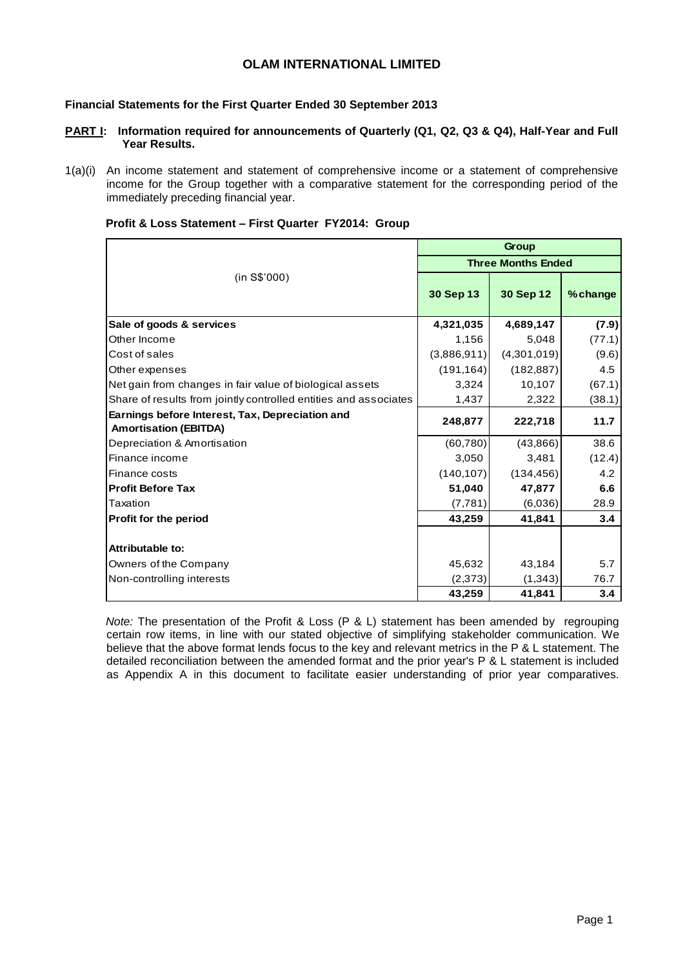## **OLAM INTERNATIONAL LIMITED**

### **Financial Statements for the First Quarter Ended 30 September 2013**

- **PART I: Information required for announcements of Quarterly (Q1, Q2, Q3 & Q4), Half-Year and Full Year Results.**
- 1(a)(i) An income statement and statement of comprehensive income or a statement of comprehensive income for the Group together with a comparative statement for the corresponding period of the immediately preceding financial year.

|                                                                                 |                           | Group       |          |  |  |  |
|---------------------------------------------------------------------------------|---------------------------|-------------|----------|--|--|--|
|                                                                                 | <b>Three Months Ended</b> |             |          |  |  |  |
| (in S\$'000)                                                                    | 30 Sep 13                 | 30 Sep 12   | % change |  |  |  |
| Sale of goods & services                                                        | 4,321,035                 | 4,689,147   | (7.9)    |  |  |  |
| Other Income                                                                    | 1,156                     | 5,048       | (77.1)   |  |  |  |
| Cost of sales                                                                   | (3,886,911)               | (4,301,019) | (9.6)    |  |  |  |
| Other expenses                                                                  | (191, 164)                | (182, 887)  | 4.5      |  |  |  |
| Net gain from changes in fair value of biological assets                        | 3,324                     | 10,107      | (67.1)   |  |  |  |
| Share of results from jointly controlled entities and associates                | 1,437                     | 2,322       | (38.1)   |  |  |  |
| Earnings before Interest, Tax, Depreciation and<br><b>Amortisation (EBITDA)</b> | 248,877                   | 222,718     | 11.7     |  |  |  |
| Depreciation & Amortisation                                                     | (60, 780)                 | (43,866)    | 38.6     |  |  |  |
| Finance income                                                                  | 3,050                     | 3,481       | (12.4)   |  |  |  |
| Finance costs                                                                   | (140, 107)                | (134, 456)  | 4.2      |  |  |  |
| <b>Profit Before Tax</b>                                                        | 51,040                    | 47,877      | 6.6      |  |  |  |
| Taxation                                                                        | (7, 781)                  | (6,036)     | 28.9     |  |  |  |
| Profit for the period                                                           | 43,259                    | 41,841      | 3.4      |  |  |  |
| Attributable to:                                                                |                           |             |          |  |  |  |
| Owners of the Company                                                           | 45,632                    | 43,184      | 5.7      |  |  |  |
| Non-controlling interests                                                       | (2, 373)                  | (1,343)     | 76.7     |  |  |  |
|                                                                                 | 43,259                    | 41,841      | 3.4      |  |  |  |

### **Profit & Loss Statement – First Quarter FY2014: Group**

*Note:* The presentation of the Profit & Loss (P & L) statement has been amended by regrouping certain row items, in line with our stated objective of simplifying stakeholder communication. We believe that the above format lends focus to the key and relevant metrics in the P & L statement. The detailed reconciliation between the amended format and the prior year's P & L statement is included as Appendix A in this document to facilitate easier understanding of prior year comparatives.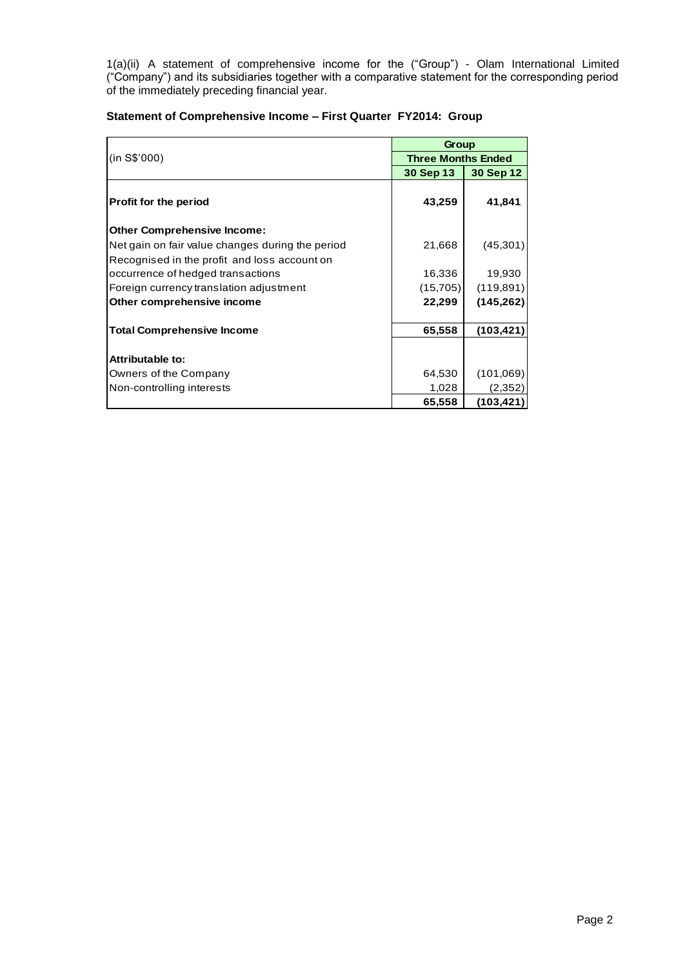1(a)(ii) A statement of comprehensive income for the ("Group") - Olam International Limited ("Company") and its subsidiaries together with a comparative statement for the corresponding period of the immediately preceding financial year.

| Statement of Comprehensive Income - First Quarter FY2014: Group |  |
|-----------------------------------------------------------------|--|
|-----------------------------------------------------------------|--|

|                                                  |                           | Group      |  |  |  |  |
|--------------------------------------------------|---------------------------|------------|--|--|--|--|
| (in S\$'000)                                     | <b>Three Months Ended</b> |            |  |  |  |  |
|                                                  | 30 Sep 13                 | 30 Sep 12  |  |  |  |  |
| <b>Profit for the period</b>                     | 43,259                    | 41,841     |  |  |  |  |
| <b>Other Comprehensive Income:</b>               |                           |            |  |  |  |  |
| Net gain on fair value changes during the period | 21,668                    | (45, 301)  |  |  |  |  |
| Recognised in the profit and loss account on     |                           |            |  |  |  |  |
| occurrence of hedged transactions                | 16,336                    | 19,930     |  |  |  |  |
| Foreign currency translation adjustment          | (15, 705)                 | (119, 891) |  |  |  |  |
| Other comprehensive income                       | 22,299                    | (145, 262) |  |  |  |  |
| <b>Total Comprehensive Income</b>                | 65,558                    | (103, 421) |  |  |  |  |
| Attributable to:                                 |                           |            |  |  |  |  |
| Owners of the Company                            | 64,530                    | (101,069)  |  |  |  |  |
| Non-controlling interests                        | 1,028                     | (2, 352)   |  |  |  |  |
|                                                  | 65,558                    | (103,421)  |  |  |  |  |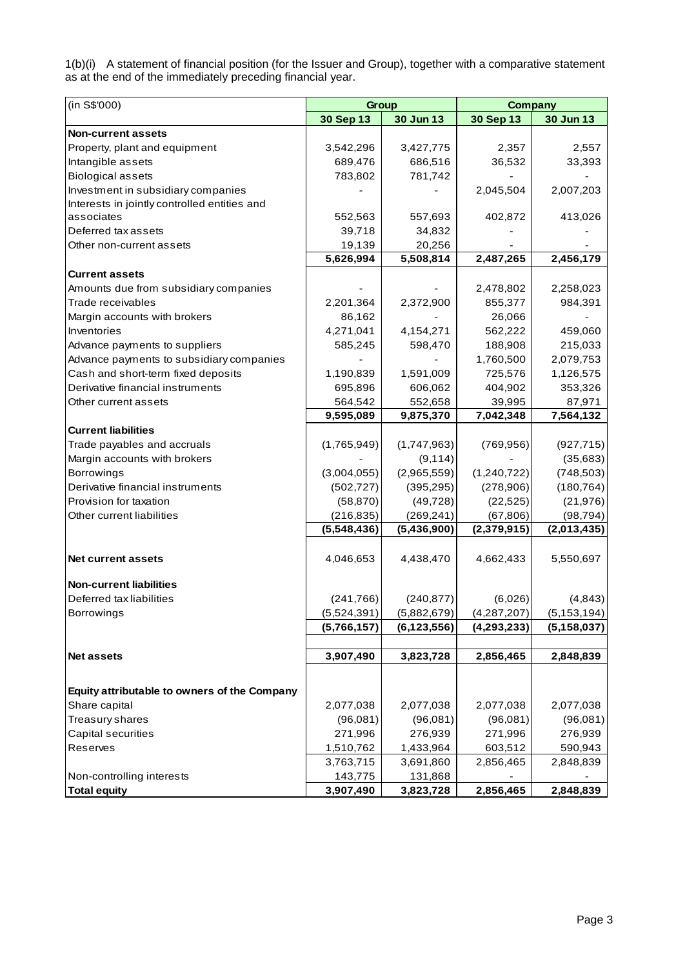1(b)(i) A statement of financial position (for the Issuer and Group), together with a comparative statement as at the end of the immediately preceding financial year.

| (in S\$'000)                                 |             | Group         |               | <b>Company</b> |  |  |  |
|----------------------------------------------|-------------|---------------|---------------|----------------|--|--|--|
|                                              | 30 Sep 13   | 30 Jun 13     | 30 Sep 13     | 30 Jun 13      |  |  |  |
| <b>Non-current assets</b>                    |             |               |               |                |  |  |  |
| Property, plant and equipment                | 3,542,296   | 3,427,775     | 2,357         | 2,557          |  |  |  |
| Intangible assets                            | 689,476     | 686,516       | 36,532        | 33,393         |  |  |  |
| <b>Biological assets</b>                     | 783,802     | 781,742       |               |                |  |  |  |
| Investment in subsidiary companies           |             |               | 2,045,504     | 2,007,203      |  |  |  |
| Interests in jointly controlled entities and |             |               |               |                |  |  |  |
| associates                                   | 552,563     | 557,693       | 402,872       | 413,026        |  |  |  |
| Deferred tax assets                          | 39,718      | 34,832        |               |                |  |  |  |
| Other non-current assets                     | 19,139      | 20,256        |               |                |  |  |  |
|                                              | 5,626,994   | 5,508,814     | 2,487,265     | 2,456,179      |  |  |  |
| <b>Current assets</b>                        |             |               |               |                |  |  |  |
| Amounts due from subsidiary companies        |             |               | 2,478,802     | 2,258,023      |  |  |  |
| Trade receivables                            | 2,201,364   | 2,372,900     | 855,377       | 984,391        |  |  |  |
| Margin accounts with brokers                 | 86,162      |               | 26,066        |                |  |  |  |
| Inventories                                  | 4,271,041   | 4,154,271     | 562,222       | 459,060        |  |  |  |
| Advance payments to suppliers                | 585,245     | 598,470       | 188,908       | 215,033        |  |  |  |
| Advance payments to subsidiary companies     |             |               | 1,760,500     | 2,079,753      |  |  |  |
| Cash and short-term fixed deposits           | 1,190,839   | 1,591,009     | 725,576       | 1,126,575      |  |  |  |
| Derivative financial instruments             | 695,896     | 606,062       | 404,902       | 353,326        |  |  |  |
| Other current assets                         | 564,542     | 552,658       | 39,995        | 87,971         |  |  |  |
|                                              | 9,595,089   | 9,875,370     | 7,042,348     | 7,564,132      |  |  |  |
| <b>Current liabilities</b>                   |             |               |               |                |  |  |  |
| Trade payables and accruals                  | (1,765,949) | (1,747,963)   | (769, 956)    | (927, 715)     |  |  |  |
| Margin accounts with brokers                 |             | (9, 114)      |               | (35, 683)      |  |  |  |
| <b>Borrowings</b>                            | (3,004,055) | (2,965,559)   | (1,240,722)   | (748, 503)     |  |  |  |
| Derivative financial instruments             | (502, 727)  | (395, 295)    | (278,906)     | (180, 764)     |  |  |  |
| Provision for taxation                       | (58, 870)   | (49, 728)     | (22, 525)     | (21, 976)      |  |  |  |
| Other current liabilities                    | (216, 835)  | (269, 241)    | (67, 806)     | (98, 794)      |  |  |  |
|                                              | (5,548,436) | (5,436,900)   | (2,379,915)   | (2,013,435)    |  |  |  |
|                                              |             |               |               |                |  |  |  |
| <b>Net current assets</b>                    | 4,046,653   | 4,438,470     | 4,662,433     | 5,550,697      |  |  |  |
|                                              |             |               |               |                |  |  |  |
| <b>Non-current liabilities</b>               |             |               |               |                |  |  |  |
| Deferred tax liabilities                     | (241, 766)  | (240, 877)    | (6,026)       | (4, 843)       |  |  |  |
| <b>Borrowings</b>                            | (5,524,391) | (5,882,679)   | (4, 287, 207) | (5, 153, 194)  |  |  |  |
|                                              | (5,766,157) | (6, 123, 556) | (4,293,233)   | (5, 158, 037)  |  |  |  |
|                                              |             |               |               |                |  |  |  |
| <b>Net assets</b>                            | 3,907,490   | 3,823,728     | 2,856,465     | 2,848,839      |  |  |  |
|                                              |             |               |               |                |  |  |  |
| Equity attributable to owners of the Company |             |               |               |                |  |  |  |
| Share capital                                | 2,077,038   | 2,077,038     | 2,077,038     | 2,077,038      |  |  |  |
| Treasury shares                              | (96,081)    | (96,081)      | (96,081)      | (96,081)       |  |  |  |
| Capital securities                           | 271,996     | 276,939       | 271,996       | 276,939        |  |  |  |
| Reserves                                     | 1,510,762   | 1,433,964     | 603,512       | 590,943        |  |  |  |
|                                              | 3,763,715   | 3,691,860     | 2,856,465     | 2,848,839      |  |  |  |
| Non-controlling interests                    | 143,775     | 131,868       |               |                |  |  |  |
| <b>Total equity</b>                          | 3,907,490   | 3,823,728     | 2,856,465     | 2,848,839      |  |  |  |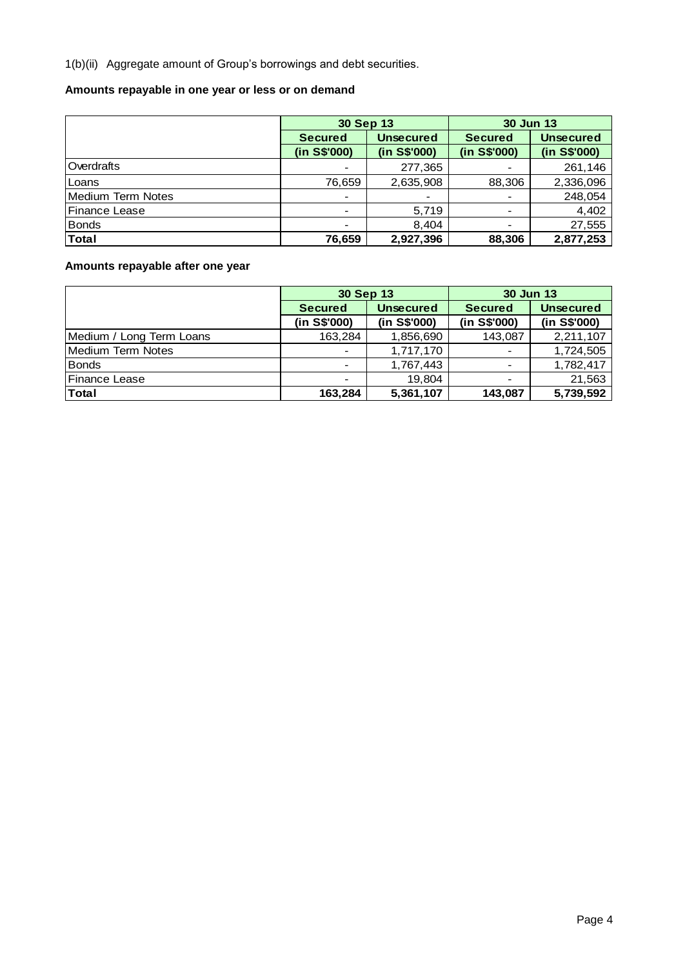1(b)(ii) Aggregate amount of Group's borrowings and debt securities.

# **Amounts repayable in one year or less or on demand**

|                      | 30 Sep 13                |                  | <b>30 Jun 13</b> |                  |  |  |
|----------------------|--------------------------|------------------|------------------|------------------|--|--|
|                      | <b>Secured</b>           | <b>Unsecured</b> | <b>Secured</b>   | <b>Unsecured</b> |  |  |
|                      | (in S\$'000)             | (in S\$'000)     | (in S\$'000)     | (in S\$'000)     |  |  |
| Overdrafts           |                          | 277,365          |                  | 261,146          |  |  |
| Loans                | 76,659                   | 2,635,908        | 88,306           | 2,336,096        |  |  |
| Medium Term Notes    | $\overline{\phantom{a}}$ |                  |                  | 248,054          |  |  |
| <b>Finance Lease</b> | $\blacksquare$           | 5,719            |                  | 4,402            |  |  |
| <b>Bonds</b>         | $\blacksquare$           | 8,404            |                  | 27,555           |  |  |
| <b>Total</b>         | 76,659                   | 2,927,396        | 88,306           | 2,877,253        |  |  |

# **Amounts repayable after one year**

|                          | 30 Sep 13      |                  | <b>30 Jun 13</b> |                  |  |  |
|--------------------------|----------------|------------------|------------------|------------------|--|--|
|                          | <b>Secured</b> | <b>Unsecured</b> | <b>Secured</b>   | <b>Unsecured</b> |  |  |
|                          | (in S\$'000)   | (in S\$'000)     | (in S\$'000)     | (in S\$'000)     |  |  |
| Medium / Long Term Loans | 163,284        | 1,856,690        | 143,087          | 2,211,107        |  |  |
| <b>Medium Term Notes</b> | $\blacksquare$ | 1,717,170        |                  | 1,724,505        |  |  |
| <b>Bonds</b>             | $\blacksquare$ | 1,767,443        |                  | 1,782,417        |  |  |
| <b>IFinance Lease</b>    | $\blacksquare$ | 19,804           |                  | 21,563           |  |  |
| <b>Total</b>             | 163,284        | 5,361,107        | 143,087          | 5,739,592        |  |  |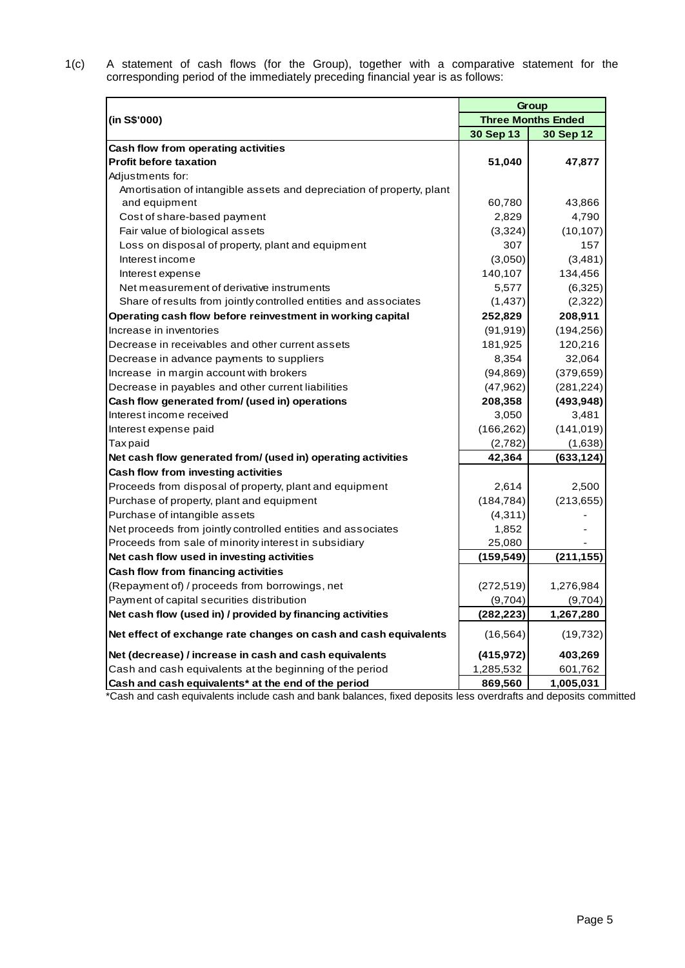1(c) A statement of cash flows (for the Group), together with a comparative statement for the corresponding period of the immediately preceding financial year is as follows:

|                                                                       |            | Group                     |
|-----------------------------------------------------------------------|------------|---------------------------|
| (in S\$'000)                                                          |            | <b>Three Months Ended</b> |
|                                                                       | 30 Sep 13  | 30 Sep 12                 |
| Cash flow from operating activities                                   |            |                           |
| <b>Profit before taxation</b>                                         | 51,040     | 47,877                    |
| Adjustments for:                                                      |            |                           |
| Amortisation of intangible assets and depreciation of property, plant |            |                           |
| and equipment                                                         | 60,780     | 43,866                    |
| Cost of share-based payment                                           | 2,829      | 4,790                     |
| Fair value of biological assets                                       | (3,324)    | (10, 107)                 |
| Loss on disposal of property, plant and equipment                     | 307        | 157                       |
| Interest income                                                       | (3,050)    | (3,481)                   |
| Interest expense                                                      | 140,107    | 134,456                   |
| Net measurement of derivative instruments                             | 5,577      | (6,325)                   |
| Share of results from jointly controlled entities and associates      | (1,437)    | (2,322)                   |
| Operating cash flow before reinvestment in working capital            | 252,829    | 208,911                   |
| Increase in inventories                                               | (91, 919)  | (194, 256)                |
| Decrease in receivables and other current assets                      | 181,925    | 120,216                   |
| Decrease in advance payments to suppliers                             | 8,354      | 32,064                    |
| Increase in margin account with brokers                               | (94, 869)  | (379, 659)                |
| Decrease in payables and other current liabilities                    | (47, 962)  | (281, 224)                |
| Cash flow generated from/ (used in) operations                        | 208,358    | (493, 948)                |
| Interest income received                                              | 3,050      | 3,481                     |
| Interest expense paid                                                 | (166, 262) | (141, 019)                |
| <b>Taxpaid</b>                                                        | (2,782)    | (1,638)                   |
| Net cash flow generated from/ (used in) operating activities          | 42,364     | (633, 124)                |
| Cash flow from investing activities                                   |            |                           |
| Proceeds from disposal of property, plant and equipment               | 2,614      | 2,500                     |
| Purchase of property, plant and equipment                             | (184, 784) | (213, 655)                |
| Purchase of intangible assets                                         | (4, 311)   |                           |
| Net proceeds from jointly controlled entities and associates          | 1,852      |                           |
| Proceeds from sale of minority interest in subsidiary                 | 25,080     |                           |
| Net cash flow used in investing activities                            | (159, 549) | (211, 155)                |
| Cash flow from financing activities                                   |            |                           |
| (Repayment of) / proceeds from borrowings, net                        | (272, 519) | 1,276,984                 |
| Payment of capital securities distribution                            | (9,704)    | (9,704)                   |
| Net cash flow (used in) / provided by financing activities            | (282, 223) | 1,267,280                 |
| Net effect of exchange rate changes on cash and cash equivalents      | (16, 564)  | (19, 732)                 |
| Net (decrease) / increase in cash and cash equivalents                | (415, 972) | 403,269                   |
| Cash and cash equivalents at the beginning of the period              | 1,285,532  | 601,762                   |
| Cash and cash equivalents* at the end of the period                   | 869,560    | 1,005,031                 |

\*Cash and cash equivalents include cash and bank balances, fixed deposits less overdrafts and deposits committed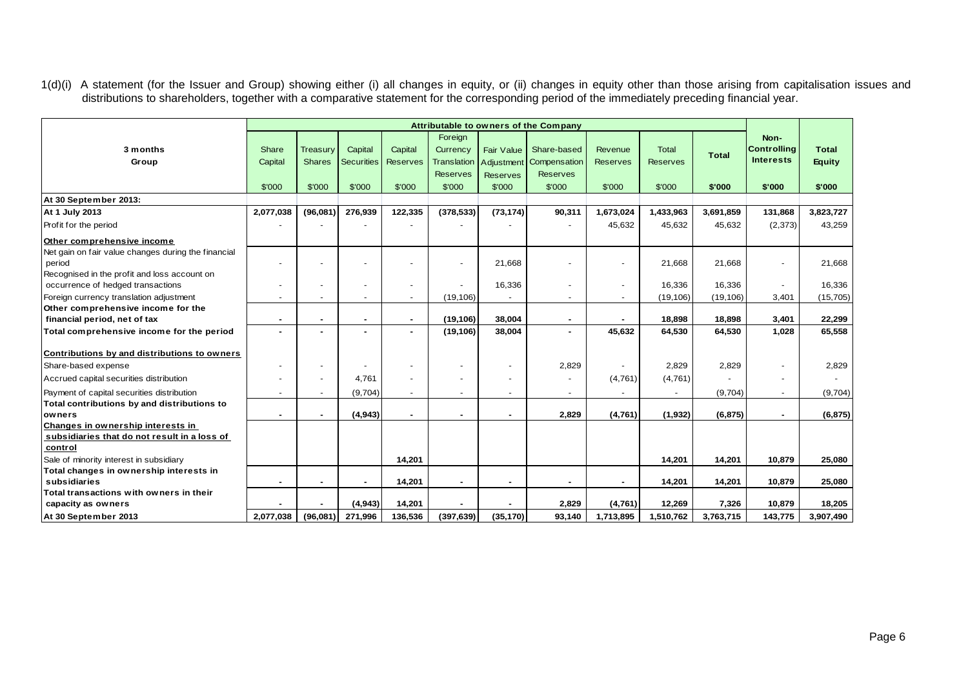1(d)(i) A statement (for the Issuer and Group) showing either (i) all changes in equity, or (ii) changes in equity other than those arising from capitalisation issues and distributions to shareholders, together with a comparative statement for the corresponding period of the immediately preceding financial year.

|                                                     | Attributable to owners of the Company |               |                   |                 |                    |                   |                 |                 |                 |              |                    |               |
|-----------------------------------------------------|---------------------------------------|---------------|-------------------|-----------------|--------------------|-------------------|-----------------|-----------------|-----------------|--------------|--------------------|---------------|
|                                                     |                                       |               |                   |                 | Foreign            |                   |                 |                 |                 |              | Non-               |               |
| 3 months                                            | Share                                 | Treasury      | Capital           | Capital         | Currency           | <b>Fair Value</b> | Share-based     | Revenue         | <b>Total</b>    | <b>Total</b> | <b>Controlling</b> | <b>Total</b>  |
| Group                                               | Capital                               | <b>Shares</b> | <b>Securities</b> | <b>Reserves</b> | <b>Translation</b> | Adjustment        | Compensation    | <b>Reserves</b> | <b>Reserves</b> |              | <b>Interests</b>   | <b>Equity</b> |
|                                                     |                                       |               |                   |                 | <b>Reserves</b>    | <b>Reserves</b>   | <b>Reserves</b> |                 |                 |              |                    |               |
|                                                     | \$'000                                | \$'000        | \$'000            | \$'000          | \$'000             | \$'000            | \$'000          | \$'000          | \$'000          | \$'000       | \$'000             | \$'000        |
| At 30 September 2013:                               |                                       |               |                   |                 |                    |                   |                 |                 |                 |              |                    |               |
| At 1 July 2013                                      | 2,077,038                             | (96,081)      | 276,939           | 122,335         | (378, 533)         | (73, 174)         | 90,311          | 1,673,024       | 1,433,963       | 3,691,859    | 131,868            | 3,823,727     |
| Profit for the period                               |                                       |               |                   |                 |                    |                   |                 | 45,632          | 45,632          | 45,632       | (2,373)            | 43,259        |
| Other comprehensive income                          |                                       |               |                   |                 |                    |                   |                 |                 |                 |              |                    |               |
| Net gain on fair value changes during the financial |                                       |               |                   |                 |                    |                   |                 |                 |                 |              |                    |               |
| period                                              |                                       |               |                   |                 |                    | 21,668            |                 |                 | 21,668          | 21,668       | $\blacksquare$     | 21,668        |
| Recognised in the profit and loss account on        |                                       |               |                   |                 |                    |                   |                 |                 |                 |              |                    |               |
| occurrence of hedged transactions                   |                                       |               |                   |                 |                    | 16,336            |                 |                 | 16,336          | 16,336       | $\blacksquare$     | 16,336        |
| Foreign currency translation adjustment             |                                       |               |                   |                 | (19, 106)          |                   |                 |                 | (19, 106)       | (19, 106)    | 3,401              | (15, 705)     |
| Other comprehensive income for the                  |                                       |               |                   |                 |                    |                   |                 |                 |                 |              |                    |               |
| financial period, net of tax                        |                                       |               |                   | $\blacksquare$  | (19, 106)          | 38,004            |                 |                 | 18,898          | 18,898       | 3,401              | 22,299        |
| Total comprehensive income for the period           | $\blacksquare$                        |               |                   | $\overline{a}$  | (19, 106)          | 38,004            |                 | 45,632          | 64,530          | 64,530       | 1,028              | 65,558        |
| Contributions by and distributions to owners        |                                       |               |                   |                 |                    |                   |                 |                 |                 |              |                    |               |
| Share-based expense                                 |                                       |               |                   |                 |                    |                   | 2,829           |                 | 2,829           | 2,829        | $\blacksquare$     | 2,829         |
| Accrued capital securities distribution             |                                       |               | 4,761             |                 |                    |                   |                 | (4,761)         | (4,761)         |              | $\blacksquare$     |               |
| Payment of capital securities distribution          |                                       |               | (9,704)           | $\mathbf{r}$    |                    |                   |                 |                 |                 | (9,704)      | $\sim$             | (9,704)       |
| Total contributions by and distributions to         |                                       |               |                   |                 |                    |                   |                 |                 |                 |              |                    |               |
| owners                                              |                                       |               | (4,943)           |                 |                    |                   | 2,829           | (4,761)         | (1,932)         | (6, 875)     | $\blacksquare$     | (6, 875)      |
| Changes in ownership interests in                   |                                       |               |                   |                 |                    |                   |                 |                 |                 |              |                    |               |
| subsidiaries that do not result in a loss of        |                                       |               |                   |                 |                    |                   |                 |                 |                 |              |                    |               |
| control                                             |                                       |               |                   |                 |                    |                   |                 |                 |                 |              |                    |               |
| Sale of minority interest in subsidiary             |                                       |               |                   | 14,201          |                    |                   |                 |                 | 14,201          | 14,201       | 10,879             | 25,080        |
| Total changes in ownership interests in             |                                       |               |                   |                 |                    |                   |                 |                 |                 |              |                    |               |
| subsidiaries                                        |                                       |               |                   | 14,201          |                    |                   |                 |                 | 14,201          | 14,201       | 10,879             | 25,080        |
| Total transactions with owners in their             |                                       |               |                   |                 |                    |                   |                 |                 |                 |              |                    |               |
| capacity as owners                                  |                                       |               | (4, 943)          | 14,201          |                    |                   | 2,829           | (4,761)         | 12,269          | 7,326        | 10,879             | 18,205        |
| At 30 September 2013                                | 2,077,038                             | (96,081)      | 271,996           | 136,536         | (397, 639)         | (35, 170)         | 93,140          | 1,713,895       | 1,510,762       | 3,763,715    | 143,775            | 3,907,490     |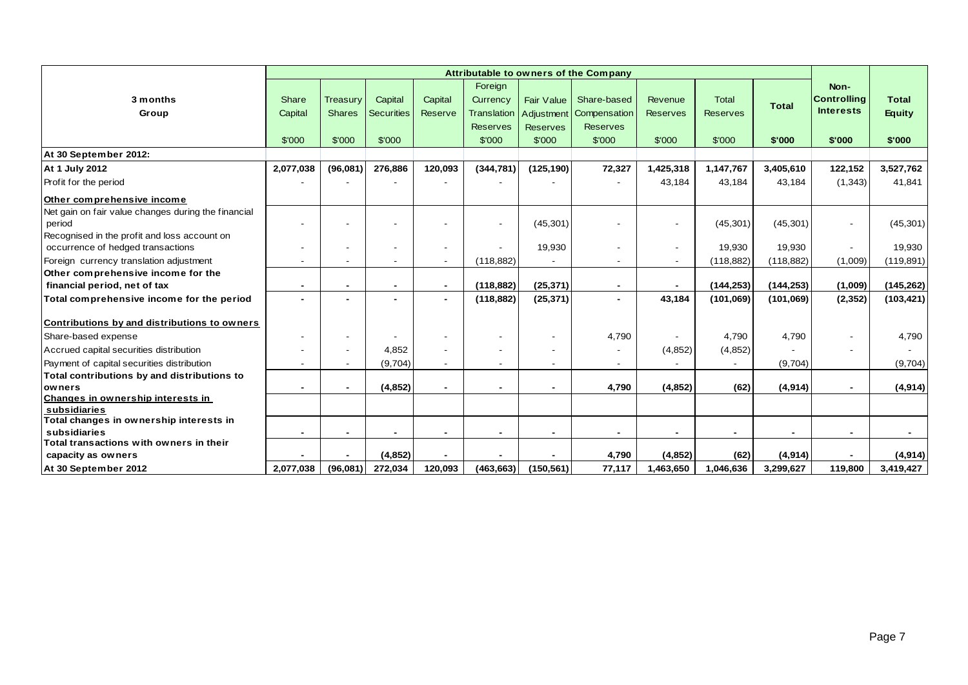|                                                               | Attributable to owners of the Company |                |                   |                          |                    |                   |                 |                 |                 |              |                          |               |
|---------------------------------------------------------------|---------------------------------------|----------------|-------------------|--------------------------|--------------------|-------------------|-----------------|-----------------|-----------------|--------------|--------------------------|---------------|
|                                                               |                                       |                |                   |                          | Foreign            |                   |                 |                 |                 |              | Non-                     |               |
| 3 months                                                      | Share                                 | Treasury       | Capital           | Capital                  | Currency           | <b>Fair Value</b> | Share-based     | Revenue         | <b>Total</b>    |              | <b>Controlling</b>       | <b>Total</b>  |
| Group                                                         | Capital                               | <b>Shares</b>  | <b>Securities</b> | Reserve                  | <b>Translation</b> | Adjustment        | Compensation    | <b>Reserves</b> | <b>Reserves</b> | <b>Total</b> | <b>Interests</b>         | <b>Equity</b> |
|                                                               |                                       |                |                   |                          | <b>Reserves</b>    | <b>Reserves</b>   | <b>Reserves</b> |                 |                 |              |                          |               |
|                                                               | \$'000                                | \$'000         | \$'000            |                          | \$'000             | \$'000            | \$'000          | \$'000          | \$'000          | \$'000       | \$'000                   | \$'000        |
| At 30 September 2012:                                         |                                       |                |                   |                          |                    |                   |                 |                 |                 |              |                          |               |
| At 1 July 2012                                                | 2,077,038                             | (96,081)       | 276,886           | 120,093                  | (344, 781)         | (125, 190)        | 72,327          | 1,425,318       | 1,147,767       | 3,405,610    | 122,152                  | 3,527,762     |
| Profit for the period                                         |                                       |                |                   |                          |                    |                   |                 | 43,184          | 43,184          | 43,184       | (1,343)                  | 41,841        |
| Other comprehensive income                                    |                                       |                |                   |                          |                    |                   |                 |                 |                 |              |                          |               |
| Net gain on fair value changes during the financial<br>period |                                       |                |                   |                          |                    | (45, 301)         |                 |                 | (45, 301)       | (45, 301)    | $\sim$                   | (45,301)      |
| Recognised in the profit and loss account on                  |                                       |                |                   |                          |                    |                   |                 |                 |                 |              |                          |               |
| occurrence of hedged transactions                             |                                       |                |                   | $\overline{\phantom{a}}$ |                    | 19,930            |                 |                 | 19,930          | 19,930       | $\overline{\phantom{a}}$ | 19,930        |
| Foreign currency translation adjustment                       |                                       |                |                   | $\overline{\phantom{a}}$ | (118, 882)         |                   |                 |                 | (118, 882)      | (118, 882)   | (1,009)                  | (119, 891)    |
| Other comprehensive income for the                            |                                       |                |                   |                          |                    |                   |                 |                 |                 |              |                          |               |
| financial period, net of tax                                  | $\sim$                                | $\blacksquare$ | $\blacksquare$    | $\blacksquare$           | (118, 882)         | (25, 371)         | $\blacksquare$  |                 | (144, 253)      | (144, 253)   | (1,009)                  | (145, 262)    |
| Total comprehensive income for the period                     | $\overline{a}$                        |                |                   | $\blacksquare$           | (118, 882)         | (25, 371)         |                 | 43.184          | (101,069)       | (101,069)    | (2, 352)                 | (103, 421)    |
| Contributions by and distributions to owners                  |                                       |                |                   |                          |                    |                   |                 |                 |                 |              |                          |               |
| Share-based expense                                           |                                       |                |                   | $\overline{\phantom{a}}$ |                    |                   | 4,790           |                 | 4,790           | 4,790        |                          | 4.790         |
| Accrued capital securities distribution                       |                                       |                | 4,852             |                          |                    |                   |                 | (4, 852)        | (4, 852)        |              |                          |               |
| Payment of capital securities distribution                    |                                       |                | (9,704)           | $\overline{\phantom{a}}$ |                    |                   |                 |                 |                 | (9,704)      |                          | (9,704)       |
| Total contributions by and distributions to                   |                                       |                |                   |                          |                    |                   |                 |                 |                 |              |                          |               |
| owners                                                        |                                       |                | (4, 852)          | $\blacksquare$           |                    |                   | 4,790           | (4, 852)        | (62)            | (4, 914)     | $\blacksquare$           | (4, 914)      |
| Changes in ownership interests in                             |                                       |                |                   |                          |                    |                   |                 |                 |                 |              |                          |               |
| subsidiaries<br>Total changes in ownership interests in       |                                       |                |                   |                          |                    |                   |                 |                 |                 |              |                          |               |
| subsidiaries                                                  |                                       |                |                   | $\blacksquare$           |                    |                   |                 |                 |                 |              | $\blacksquare$           |               |
| Total transactions with owners in their                       |                                       |                |                   |                          |                    |                   |                 |                 |                 |              |                          |               |
| capacity as owners                                            |                                       |                | (4, 852)          |                          |                    |                   | 4,790           | (4, 852)        | (62)            | (4, 914)     | $\blacksquare$           | (4, 914)      |
| At 30 September 2012                                          | 2,077,038                             | (96,081)       | 272,034           | 120,093                  | (463, 663)         | (150, 561)        | 77,117          | 1,463,650       | 1,046,636       | 3,299,627    | 119,800                  | 3,419,427     |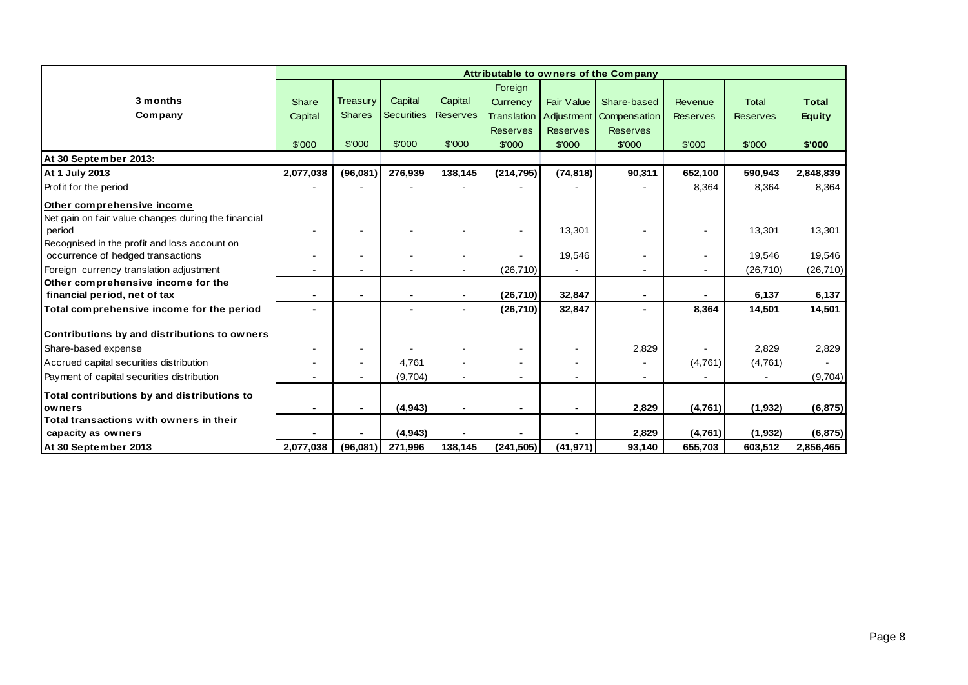|                                                                                   | Attributable to owners of the Company |               |                   |                 |                    |                   |                           |                 |                 |              |  |
|-----------------------------------------------------------------------------------|---------------------------------------|---------------|-------------------|-----------------|--------------------|-------------------|---------------------------|-----------------|-----------------|--------------|--|
|                                                                                   |                                       |               |                   |                 | Foreign            |                   |                           |                 |                 |              |  |
| 3 months                                                                          | Share                                 | Treasury      | Capital           | Capital         | Currency           | <b>Fair Value</b> | Share-based               | Revenue         | <b>Total</b>    | <b>Total</b> |  |
| Company                                                                           | Capital                               | <b>Shares</b> | <b>Securities</b> | <b>Reserves</b> | <b>Translation</b> |                   | Adjustment   Compensation | <b>Reserves</b> | <b>Reserves</b> | Equity       |  |
|                                                                                   |                                       |               |                   |                 | <b>Reserves</b>    | <b>Reserves</b>   | <b>Reserves</b>           |                 |                 |              |  |
|                                                                                   | \$'000                                | \$'000        | \$'000            | \$'000          | \$'000             | \$'000            | \$'000                    | \$'000          | \$'000          | \$'000       |  |
| At 30 September 2013:                                                             |                                       |               |                   |                 |                    |                   |                           |                 |                 |              |  |
| At 1 July 2013                                                                    | 2,077,038                             | (96,081)      | 276,939           | 138,145         | (214, 795)         | (74, 818)         | 90,311                    | 652,100         | 590,943         | 2,848,839    |  |
| Profit for the period                                                             |                                       |               |                   |                 |                    |                   |                           | 8,364           | 8,364           | 8,364        |  |
| Other comprehensive income                                                        |                                       |               |                   |                 |                    |                   |                           |                 |                 |              |  |
| Net gain on fair value changes during the financial<br>period                     |                                       |               |                   |                 |                    | 13,301            |                           |                 | 13,301          | 13,301       |  |
| Recognised in the profit and loss account on<br>occurrence of hedged transactions |                                       |               | $\blacksquare$    | $\overline{a}$  |                    | 19,546            | $\blacksquare$            |                 | 19,546          | 19,546       |  |
| Foreign currency translation adjustment                                           |                                       |               |                   |                 | (26, 710)          |                   | $\blacksquare$            |                 | (26, 710)       | (26, 710)    |  |
| Other comprehensive income for the                                                |                                       |               |                   |                 |                    |                   |                           |                 |                 |              |  |
| financial period, net of tax                                                      |                                       |               | $\blacksquare$    | $\blacksquare$  | (26, 710)          | 32,847            | $\blacksquare$            |                 | 6,137           | 6,137        |  |
| Total comprehensive income for the period                                         |                                       |               |                   |                 | (26, 710)          | 32,847            | $\blacksquare$            | 8,364           | 14,501          | 14,501       |  |
| Contributions by and distributions to owners                                      |                                       |               |                   |                 |                    |                   |                           |                 |                 |              |  |
| Share-based expense                                                               |                                       |               |                   |                 |                    |                   | 2,829                     |                 | 2,829           | 2,829        |  |
| Accrued capital securities distribution                                           |                                       |               | 4,761             |                 |                    |                   |                           | (4,761)         | (4,761)         |              |  |
| Payment of capital securities distribution                                        |                                       |               | (9,704)           |                 |                    |                   |                           |                 |                 | (9,704)      |  |
| Total contributions by and distributions to                                       |                                       |               |                   |                 |                    |                   |                           |                 |                 |              |  |
| owners                                                                            |                                       |               | (4,943)           |                 |                    |                   | 2,829                     | (4,761)         | (1, 932)        | (6, 875)     |  |
| Total transactions with owners in their                                           |                                       |               |                   |                 |                    |                   |                           |                 |                 |              |  |
| capacity as owners                                                                |                                       |               | (4, 943)          |                 |                    |                   | 2,829                     | (4,761)         | (1, 932)        | (6, 875)     |  |
| At 30 September 2013                                                              | 2,077,038                             | (96,081)      | 271,996           | 138,145         | (241, 505)         | (41, 971)         | 93,140                    | 655,703         | 603,512         | 2,856,465    |  |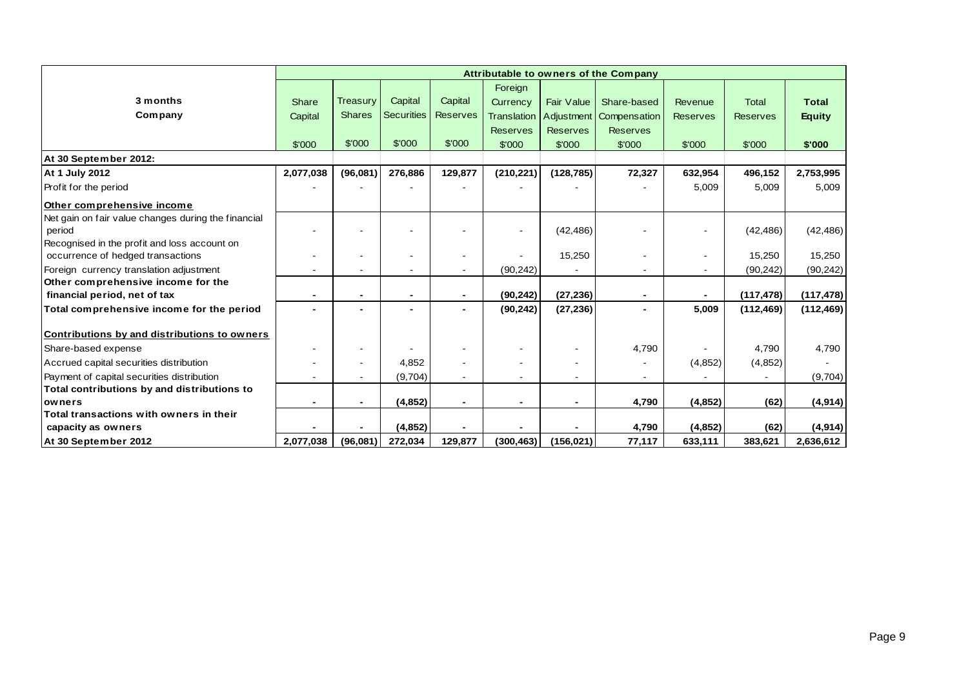|                                                     | Attributable to owners of the Company |                 |                   |                 |                          |                   |                          |                 |                 |               |
|-----------------------------------------------------|---------------------------------------|-----------------|-------------------|-----------------|--------------------------|-------------------|--------------------------|-----------------|-----------------|---------------|
|                                                     |                                       |                 |                   |                 | Foreign                  |                   |                          |                 |                 |               |
| 3 months                                            | Share                                 | <b>Treasury</b> | Capital           | Capital         | Currency                 | <b>Fair Value</b> | Share-based              | Revenue         | Total           | <b>Total</b>  |
| Company                                             | Capital                               | <b>Shares</b>   | <b>Securities</b> | <b>Reserves</b> | <b>Translation</b>       |                   | Adjustment Compensation  | <b>Reserves</b> | <b>Reserves</b> | <b>Equity</b> |
|                                                     |                                       |                 |                   |                 | <b>Reserves</b>          | <b>Reserves</b>   | <b>Reserves</b>          |                 |                 |               |
|                                                     | \$'000                                | \$'000          | \$'000            | \$'000          | \$'000                   | \$'000            | \$'000                   | \$'000          | \$'000          | \$'000        |
| At 30 September 2012:                               |                                       |                 |                   |                 |                          |                   |                          |                 |                 |               |
| At 1 July 2012                                      | 2,077,038                             | (96,081)        | 276,886           | 129,877         | (210, 221)               | (128, 785)        | 72,327                   | 632,954         | 496,152         | 2,753,995     |
| Profit for the period                               |                                       |                 |                   |                 |                          |                   |                          | 5,009           | 5,009           | 5,009         |
| Other comprehensive income                          |                                       |                 |                   |                 |                          |                   |                          |                 |                 |               |
| Net gain on fair value changes during the financial |                                       |                 |                   |                 |                          |                   |                          |                 |                 |               |
| period                                              |                                       |                 | $\blacksquare$    |                 | $\sim$                   | (42, 486)         |                          |                 | (42, 486)       | (42, 486)     |
| Recognised in the profit and loss account on        |                                       |                 |                   |                 |                          |                   |                          |                 |                 |               |
| occurrence of hedged transactions                   |                                       |                 | $\blacksquare$    |                 |                          | 15,250            |                          |                 | 15,250          | 15,250        |
| Foreign currency translation adjustment             |                                       |                 | $\blacksquare$    | $\sim$          | (90, 242)                |                   | $\blacksquare$           |                 | (90, 242)       | (90, 242)     |
| Other comprehensive income for the                  |                                       |                 |                   |                 |                          |                   |                          |                 |                 |               |
| financial period, net of tax                        | $\blacksquare$                        |                 | $\blacksquare$    | $\blacksquare$  | (90, 242)                | (27, 236)         | $\blacksquare$           |                 | (117, 478)      | (117, 478)    |
| Total comprehensive income for the period           |                                       |                 |                   |                 | (90, 242)                | (27, 236)         |                          | 5,009           | (112, 469)      | (112, 469)    |
| Contributions by and distributions to owners        |                                       |                 |                   |                 |                          |                   |                          |                 |                 |               |
| Share-based expense                                 |                                       |                 |                   |                 |                          |                   | 4,790                    |                 | 4,790           | 4,790         |
| Accrued capital securities distribution             |                                       |                 | 4,852             |                 | $\overline{\phantom{a}}$ |                   |                          | (4,852)         | (4, 852)        |               |
| Payment of capital securities distribution          |                                       |                 | (9,704)           |                 |                          |                   | $\overline{\phantom{a}}$ |                 |                 | (9,704)       |
| Total contributions by and distributions to         |                                       |                 |                   |                 |                          |                   |                          |                 |                 |               |
| owners                                              |                                       |                 | (4, 852)          |                 |                          |                   | 4,790                    | (4, 852)        | (62)            | (4, 914)      |
| Total transactions with owners in their             |                                       |                 |                   |                 |                          |                   |                          |                 |                 |               |
| capacity as owners                                  |                                       |                 | (4, 852)          |                 |                          |                   | 4,790                    | (4, 852)        | (62)            | (4, 914)      |
| At 30 September 2012                                | 2,077,038                             | (96,081)        | 272,034           | 129,877         | (300, 463)               | (156, 021)        | 77,117                   | 633,111         | 383,621         | 2,636,612     |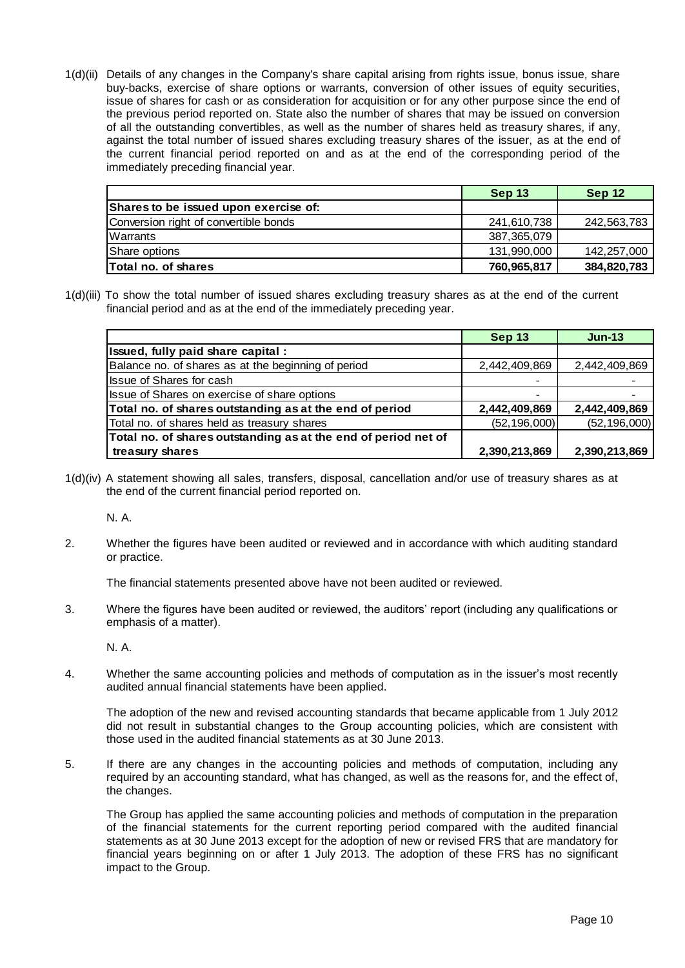1(d)(ii) Details of any changes in the Company's share capital arising from rights issue, bonus issue, share buy-backs, exercise of share options or warrants, conversion of other issues of equity securities, issue of shares for cash or as consideration for acquisition or for any other purpose since the end of the previous period reported on. State also the number of shares that may be issued on conversion of all the outstanding convertibles, as well as the number of shares held as treasury shares, if any, against the total number of issued shares excluding treasury shares of the issuer, as at the end of the current financial period reported on and as at the end of the corresponding period of the immediately preceding financial year.

|                                       | Sep 13      | Sep 12      |
|---------------------------------------|-------------|-------------|
| Shares to be issued upon exercise of: |             |             |
| Conversion right of convertible bonds | 241.610.738 | 242,563,783 |
| Warrants                              | 387.365.079 |             |
| Share options                         | 131,990,000 | 142,257,000 |
| lTotal no. of shares                  | 760,965,817 | 384,820,783 |

1(d)(iii) To show the total number of issued shares excluding treasury shares as at the end of the current financial period and as at the end of the immediately preceding year.

|                                                                | <b>Sep 13</b>  | $Jun-13$       |
|----------------------------------------------------------------|----------------|----------------|
| Issued, fully paid share capital :                             |                |                |
| Balance no. of shares as at the beginning of period            | 2,442,409,869  | 2,442,409,869  |
| <b>Issue of Shares for cash</b>                                |                |                |
| Issue of Shares on exercise of share options                   |                |                |
| Total no. of shares outstanding as at the end of period        | 2,442,409,869  | 2,442,409,869  |
| Total no. of shares held as treasury shares                    | (52, 196, 000) | (52, 196, 000) |
| Total no. of shares outstanding as at the end of period net of |                |                |
| treasury shares                                                | 2,390,213,869  | 2,390,213,869  |

1(d)(iv) A statement showing all sales, transfers, disposal, cancellation and/or use of treasury shares as at the end of the current financial period reported on.

N. A.

2. Whether the figures have been audited or reviewed and in accordance with which auditing standard or practice.

The financial statements presented above have not been audited or reviewed.

3. Where the figures have been audited or reviewed, the auditors' report (including any qualifications or emphasis of a matter).

N. A.

4. Whether the same accounting policies and methods of computation as in the issuer's most recently audited annual financial statements have been applied.

The adoption of the new and revised accounting standards that became applicable from 1 July 2012 did not result in substantial changes to the Group accounting policies, which are consistent with those used in the audited financial statements as at 30 June 2013.

5. If there are any changes in the accounting policies and methods of computation, including any required by an accounting standard, what has changed, as well as the reasons for, and the effect of, the changes.

The Group has applied the same accounting policies and methods of computation in the preparation of the financial statements for the current reporting period compared with the audited financial statements as at 30 June 2013 except for the adoption of new or revised FRS that are mandatory for financial years beginning on or after 1 July 2013. The adoption of these FRS has no significant impact to the Group.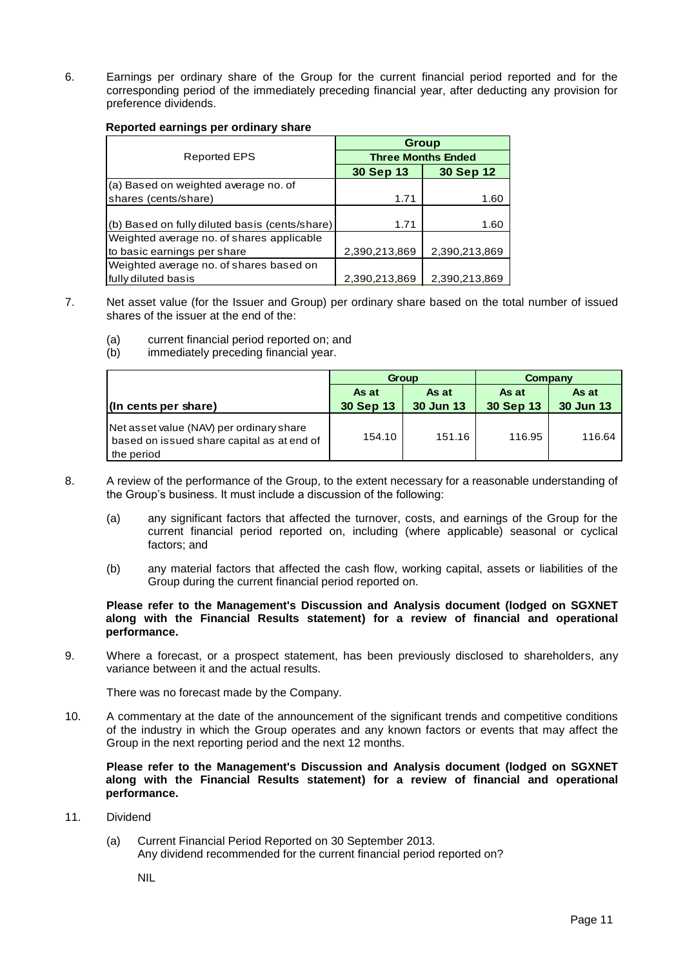6. Earnings per ordinary share of the Group for the current financial period reported and for the corresponding period of the immediately preceding financial year, after deducting any provision for preference dividends.

#### **Reported earnings per ordinary share**

|                                                | <b>Group</b>              |               |  |
|------------------------------------------------|---------------------------|---------------|--|
| Reported EPS                                   | <b>Three Months Ended</b> |               |  |
|                                                | <b>30 Sep 13</b>          | 30 Sep 12     |  |
| (a) Based on weighted average no. of           |                           |               |  |
| shares (cents/share)                           | 1.71                      | 1.60          |  |
|                                                |                           |               |  |
| (b) Based on fully diluted basis (cents/share) | 1.71                      | 1.60          |  |
| Weighted average no. of shares applicable      |                           |               |  |
| to basic earnings per share                    | 2,390,213,869             | 2,390,213,869 |  |
| Weighted average no. of shares based on        |                           |               |  |
| fully diluted basis                            | 2,390,213,869             | 2,390,213,869 |  |

- 7. Net asset value (for the Issuer and Group) per ordinary share based on the total number of issued shares of the issuer at the end of the:
	- (a) current financial period reported on; and
	- (b) immediately preceding financial year.

|                                                                                                      | Group              |                    | Company            |                    |
|------------------------------------------------------------------------------------------------------|--------------------|--------------------|--------------------|--------------------|
| (In cents per share)                                                                                 | As at<br>30 Sep 13 | As at<br>30 Jun 13 | As at<br>30 Sep 13 | As at<br>30 Jun 13 |
| Net asset value (NAV) per ordinary share<br>based on issued share capital as at end of<br>the period | 154.10             | 151.16             | 116.95             | 116.64             |

- 8. A review of the performance of the Group, to the extent necessary for a reasonable understanding of the Group's business. It must include a discussion of the following:
	- (a) any significant factors that affected the turnover, costs, and earnings of the Group for the current financial period reported on, including (where applicable) seasonal or cyclical factors; and
	- (b) any material factors that affected the cash flow, working capital, assets or liabilities of the Group during the current financial period reported on.

### **Please refer to the Management's Discussion and Analysis document (lodged on SGXNET along with the Financial Results statement) for a review of financial and operational performance.**

9. Where a forecast, or a prospect statement, has been previously disclosed to shareholders, any variance between it and the actual results.

There was no forecast made by the Company.

10. A commentary at the date of the announcement of the significant trends and competitive conditions of the industry in which the Group operates and any known factors or events that may affect the Group in the next reporting period and the next 12 months.

**Please refer to the Management's Discussion and Analysis document (lodged on SGXNET along with the Financial Results statement) for a review of financial and operational performance.**

- 11. Dividend
	- (a) Current Financial Period Reported on 30 September 2013. Any dividend recommended for the current financial period reported on?

NIL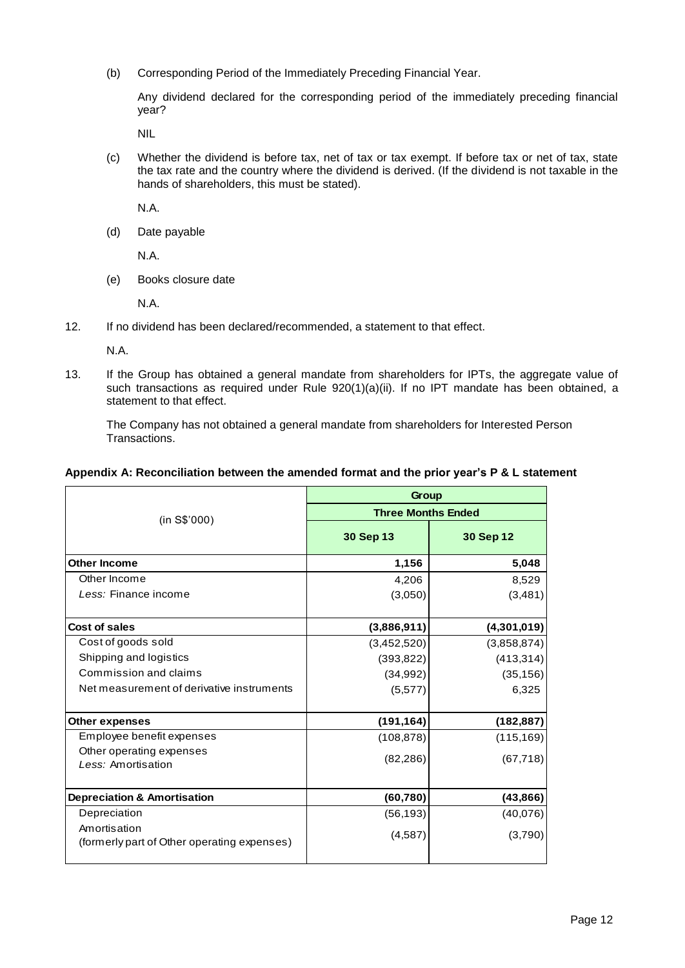(b) Corresponding Period of the Immediately Preceding Financial Year.

Any dividend declared for the corresponding period of the immediately preceding financial year?

NIL

(c) Whether the dividend is before tax, net of tax or tax exempt. If before tax or net of tax, state the tax rate and the country where the dividend is derived. (If the dividend is not taxable in the hands of shareholders, this must be stated).

N.A.

(d) Date payable

N.A.

(e) Books closure date

N.A.

12. If no dividend has been declared/recommended, a statement to that effect.

N.A.

13. If the Group has obtained a general mandate from shareholders for IPTs, the aggregate value of such transactions as required under Rule 920(1)(a)(ii). If no IPT mandate has been obtained, a statement to that effect.

The Company has not obtained a general mandate from shareholders for Interested Person Transactions.

### **Appendix A: Reconciliation between the amended format and the prior year's P & L statement**

|                                                             | Group                     |             |  |  |
|-------------------------------------------------------------|---------------------------|-------------|--|--|
| (in S\$'000)                                                | <b>Three Months Ended</b> |             |  |  |
|                                                             | 30 Sep 13                 | 30 Sep 12   |  |  |
| <b>Other Income</b>                                         | 1,156                     | 5,048       |  |  |
| Other Income                                                | 4,206                     | 8,529       |  |  |
| Less: Finance income                                        | (3,050)                   | (3, 481)    |  |  |
| <b>Cost of sales</b>                                        | (3,886,911)               | (4,301,019) |  |  |
| Cost of goods sold                                          | (3,452,520)               | (3,858,874) |  |  |
| Shipping and logistics                                      | (393, 822)                | (413, 314)  |  |  |
| Commission and claims                                       | (34, 992)                 | (35, 156)   |  |  |
| Net measurement of derivative instruments                   | (5, 577)                  | 6,325       |  |  |
| <b>Other expenses</b>                                       | (191, 164)                | (182, 887)  |  |  |
| Employee benefit expenses                                   | (108, 878)                | (115, 169)  |  |  |
| Other operating expenses<br>Less: Amortisation              | (82, 286)                 | (67, 718)   |  |  |
| <b>Depreciation &amp; Amortisation</b>                      | (60, 780)                 | (43, 866)   |  |  |
| Depreciation                                                | (56, 193)                 | (40,076)    |  |  |
| Amortisation<br>(formerly part of Other operating expenses) | (4,587)                   | (3,790)     |  |  |